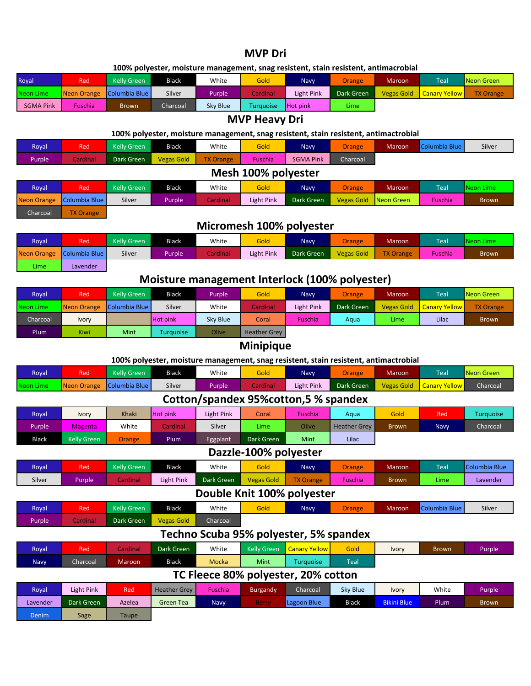## **MVP Dri**

#### **100% polyester, moisture management, snag resistent, stain resistent, antimacrobial**

| Royal     | Red            | Kelly Green               | Black    | White    | Gold      | <b>Navy</b>     | Orange     | <b>Maroon</b> | <b>Teal</b>              | Neon Green       |
|-----------|----------------|---------------------------|----------|----------|-----------|-----------------|------------|---------------|--------------------------|------------------|
| Neon Lime |                | Neon Orange Columbia Blue | Silver   | Purple   | Cardinal  | Light Pink      | Dark Green | Vegas Gold    | <b>Canary Yellow Law</b> | <b>TX Orange</b> |
| SGMA Pink | <b>Fuschia</b> | Brown                     | Charcoal | Sky Blue | Turquoise | <b>Hot pink</b> | Lime       |               |                          |                  |

### **MVP Heavy Dri**

#### **100% polyester, moisture management, snag resistent, stain resistent, antimactrobial**

| Royal              | Red                 | <b>Kelly Green</b> | <b>Black</b>      | White            | Gold           | <b>Navy</b>      | Orange            | <b>Maroon</b> | Columbia Blue | Silver       |  |  |
|--------------------|---------------------|--------------------|-------------------|------------------|----------------|------------------|-------------------|---------------|---------------|--------------|--|--|
| Purple             | Cardinal            | Dark Green         | <b>Vegas Gold</b> | <b>TX Orange</b> | <b>Fuschia</b> | <b>SGMA Pink</b> | Charcoal          |               |               |              |  |  |
|                    | Mesh 100% polyester |                    |                   |                  |                |                  |                   |               |               |              |  |  |
| Royal              | Red                 | <b>Kelly Green</b> | <b>Black</b>      | White            | Gold           | <b>Navy</b>      | Orange            | <b>Maroon</b> | Teal          | Neon Lime    |  |  |
| <b>Neon Orange</b> | Columbia Blue       | Silver             | <b>Purple</b>     | Cardinal         | Light Pink     | Dark Green       | <b>Vegas Gold</b> | Neon Green    | Fuschia       | <b>Brown</b> |  |  |
| Charcoal           | <b>TX Orange</b>    |                    |                   |                  |                |                  |                   |               |               |              |  |  |

## **Micromesh 100% polyester**

| Royal              | Red           | Kelly Green | <b>Black</b> | White           | Gold       | <b>Navy</b> | <b>Orange</b>     | <b>Maroon</b>    | <b>Teal</b>    | <b>Neon Lime</b> |
|--------------------|---------------|-------------|--------------|-----------------|------------|-------------|-------------------|------------------|----------------|------------------|
| <b>Neon Orange</b> | Columbia Blue | Silver      | Purple       | <b>Cardinal</b> | Light Pink | Dark Green  | <b>Vegas Gold</b> | <b>TX Orange</b> | <b>Fuschia</b> | <b>Brown</b>     |
| Lime.              | Lavender      |             |              |                 |            |             |                   |                  |                |                  |

# **Moisture management Interlock (100% polyester)**

| Roval     | Red         | Kelly Green   | <b>Black</b>    | Purple   | Gold                | <b>Navy</b>    | Orange            | <b>Maroon</b>     | <b>Teal</b>          | Neon Green       |
|-----------|-------------|---------------|-----------------|----------|---------------------|----------------|-------------------|-------------------|----------------------|------------------|
| Neon Lime | Neon Orange | Columbia Blue | Silver          | White    | Cardinal            | Light Pink     | <b>Dark Green</b> | <b>Vegas Gold</b> | <b>Canary Yellow</b> | <b>TX Orange</b> |
| Charcoal  | Ivory       |               | <b>Hot pink</b> | Sky Blue | Coral               | <b>Fuschia</b> | Agua              | Lime.             | Lilac                | <b>Brown</b>     |
| Plum      | <b>Kiwi</b> | Mint          | Turauoise       | Olive    | <b>Heather Grey</b> |                |                   |                   |                      |                  |

# **Minipique**

#### **100% polyester, moisture management, snag resistent, stain resistent, antimactrobial**

| Royal                                  | <b>Red</b>         | <b>Kelly Green</b> | <b>Black</b>        | White             | Gold               | <b>Navy</b>                            | Orange              | <b>Maroon</b>      | Teal                 | <b>Neon Green</b> |  |
|----------------------------------------|--------------------|--------------------|---------------------|-------------------|--------------------|----------------------------------------|---------------------|--------------------|----------------------|-------------------|--|
| <b>Neon Lime</b>                       | <b>Neon Orange</b> | Columbia Blue      | Silver              | Purple            | Cardinal           | Light Pink                             | Dark Green          | <b>Vegas Gold</b>  | <b>Canary Yellow</b> | Charcoal          |  |
| Cotton/spandex 95% cotton, 5 % spandex |                    |                    |                     |                   |                    |                                        |                     |                    |                      |                   |  |
| Royal                                  | <b>Ivory</b>       | Khaki              | <b>Hot pink</b>     | <b>Light Pink</b> | Coral              | Fuschia                                | Aqua                | Gold               | Red                  | <b>Turquoise</b>  |  |
| Purple                                 | <b>Magenta</b>     | White              | Cardinal            | Silver            | Lime               | Olive                                  | <b>Heather Grey</b> | <b>Brown</b>       | Navy                 | Charcoal          |  |
| <b>Black</b>                           | <b>Kelly Green</b> | Orange             | <b>Plum</b>         | Eggplant          | Dark Green         | Mint                                   | Lilac               |                    |                      |                   |  |
| Dazzle-100% polyester                  |                    |                    |                     |                   |                    |                                        |                     |                    |                      |                   |  |
| Royal                                  | <b>Red</b>         | <b>Kelly Green</b> | <b>Black</b>        | White             | Gold               | Navy                                   | Orange              | Maroon             | Teal                 | Columbia Blue     |  |
| Silver                                 | Purple             | Cardinal           | <b>Light Pink</b>   | Dark Green        | <b>Vegas Gold</b>  | <b>TX Orange</b>                       | Fuschia             | <b>Brown</b>       | Lime                 | Lavender          |  |
|                                        |                    |                    |                     |                   |                    | Double Knit 100% polyester             |                     |                    |                      |                   |  |
| <b>Royal</b>                           | <b>Red</b>         | <b>Kelly Green</b> | <b>Black</b>        | White             | Gold               | <b>Navy</b>                            | Orange              | Maroon             | Columbia Blue        | Silver            |  |
| Purple                                 | Cardinal           | Dark Green         | <b>Vegas Gold</b>   | Charcoal          |                    |                                        |                     |                    |                      |                   |  |
|                                        |                    |                    |                     |                   |                    | Techno Scuba 95% polyester, 5% spandex |                     |                    |                      |                   |  |
| Royal                                  | Red                | Cardinal           | Dark Green          | White             | <b>Kelly Green</b> | <b>Canary Yellow</b>                   | Gold                | Ivory              | <b>Brown</b>         | Purple            |  |
| <b>Navy</b>                            | Charcoal           | Maroon             | <b>Black</b>        | Mocka             | Mint               | Turquoise                              | Teal                |                    |                      |                   |  |
| TC Fleece 80% polyester, 20% cotton    |                    |                    |                     |                   |                    |                                        |                     |                    |                      |                   |  |
| Royal                                  | Light Pink         | Red                | <b>Heather Grey</b> | Fuschia           | <b>Burgandy</b>    | Charcoal                               | Sky Blue            | Ivory              | White                | Purple            |  |
| Lavender                               | Dark Green         | Azelea             | <b>Green Tea</b>    | <b>Navy</b>       | <b>Berry</b>       | Lagoon Blue                            | <b>Black</b>        | <b>Bikini Blue</b> | Plum                 | <b>Brown</b>      |  |
| Denim                                  | Sage               | Taupe              |                     |                   |                    |                                        |                     |                    |                      |                   |  |